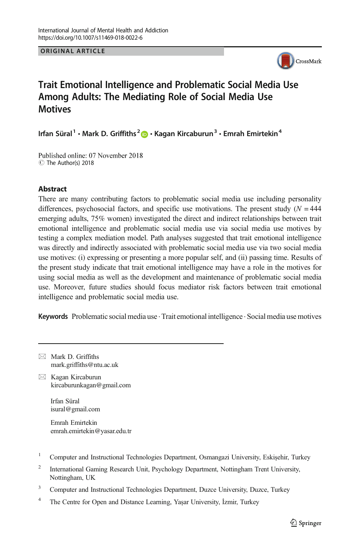**ORIGINAL ARTICLE** ORIGINAL ARTICLE



# Trait Emotional Intelligence and Problematic Social Media Use Among Adults: The Mediating Role of Social Media Use **Motives**

Irfan Süral<sup>1</sup> • Mark D. Griffiths<sup>2</sup> + Kagan Kircaburun<sup>3</sup> • Emrah Emirtekin<sup>4</sup>

Published online: 07 November 2018 C The Author(s) 2018

### **Abstract**

There are many contributing factors to problematic social media use including personality differences, psychosocial factors, and specific use motivations. The present study  $(N = 444$ emerging adults, 75% women) investigated the direct and indirect relationships between trait emotional intelligence and problematic social media use via social media use motives by testing a complex mediation model. Path analyses suggested that trait emotional intelligence was directly and indirectly associated with problematic social media use via two social media use motives: (i) expressing or presenting a more popular self, and (ii) passing time. Results of the present study indicate that trait emotional intelligence may have a role in the motives for using social media as well as the development and maintenance of problematic social media use. Moreover, future studies should focus mediator risk factors between trait emotional intelligence and problematic social media use.

Keywords Problematic social media use  $\cdot$  Trait emotional intelligence  $\cdot$  Social media use motives

 $\boxtimes$  Mark D. Griffiths mark.griffiths@ntu.ac.uk  $\boxtimes$  Kagan Kircaburun kircaburunkagan@gmail.com Irfan Süral isural@gmail.com Emrah Emirtekin emrah.emirtekin@yasar.edu.tr <sup>1</sup> Computer and Instructional Technologies Department, Osmangazi University, Eskişehir, Turkey <sup>2</sup> International Gaming Research Unit, Psychology Department, Nottingham Trent University, Nottingham, UK

<sup>3</sup> Computer and Instructional Technologies Department, Duzce University, Duzce, Turkey

<sup>&</sup>lt;sup>4</sup> The Centre for Open and Distance Learning, Yaşar University, İzmir, Turkey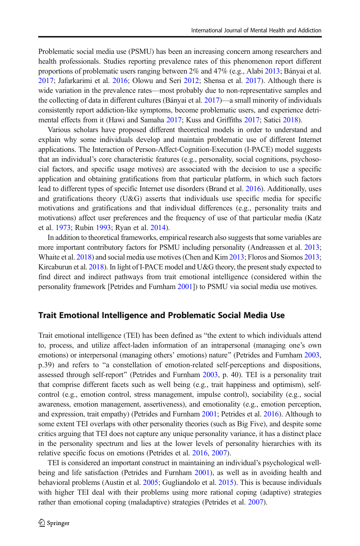Problematic social media use (PSMU) has been an increasing concern among researchers and health professionals. Studies reporting prevalence rates of this phenomenon report different proportions of problematic users ranging between 2% and 47% (e.g., Alabi [2013;](#page-8-0) Bányai et al. [2017](#page-8-0); Jafarkarimi et al. [2016;](#page-8-0) Olowu and Seri [2012](#page-9-0); Shensa et al. [2017\)](#page-9-0). Although there is wide variation in the prevalence rates—most probably due to non-representative samples and the collecting of data in different cultures (Bányai et al. [2017](#page-8-0))—a small minority of individuals consistently report addiction-like symptoms, become problematic users, and experience detrimental effects from it (Hawi and Samaha [2017;](#page-8-0) Kuss and Griffiths [2017;](#page-8-0) Satici [2018](#page-9-0)).

Various scholars have proposed different theoretical models in order to understand and explain why some individuals develop and maintain problematic use of different Internet applications. The Interaction of Person-Affect-Cognition-Execution (I-PACE) model suggests that an individual's core characteristic features (e.g., personality, social cognitions, psychosocial factors, and specific usage motives) are associated with the decision to use a specific application and obtaining gratifications from that particular platform, in which such factors lead to different types of specific Internet use disorders (Brand et al. [2016\)](#page-8-0). Additionally, uses and gratifications theory  $(U&G)$  asserts that individuals use specific media for specific motivations and gratifications and that individual differences (e.g., personality traits and motivations) affect user preferences and the frequency of use of that particular media (Katz et al. [1973](#page-8-0); Rubin [1993](#page-9-0); Ryan et al. [2014](#page-9-0)).

In addition to theoretical frameworks, empirical research also suggests that some variables are more important contributory factors for PSMU including personality (Andreassen et al. [2013](#page-8-0); Whaite et al. [2018\)](#page-9-0) and social media use motives (Chen and Kim [2013](#page-8-0); Floros and Siomos [2013](#page-8-0); Kircaburun et al. [2018\)](#page-8-0). In light of I-PACE model and U&G theory, the present study expected to find direct and indirect pathways from trait emotional intelligence (considered within the personality framework [Petrides and Furnham [2001](#page-9-0)]) to PSMU via social media use motives.

#### Trait Emotional Intelligence and Problematic Social Media Use

Trait emotional intelligence (TEI) has been defined as "the extent to which individuals attend to, process, and utilize affect-laden information of an intrapersonal (managing one's own emotions) or interpersonal (managing others' emotions) nature" (Petrides and Furnham [2003](#page-9-0), p.39) and refers to "a constellation of emotion-related self-perceptions and dispositions, assessed through self-report" (Petrides and Furnham [2003](#page-9-0), p. 40). TEI is a personality trait that comprise different facets such as well being (e.g., trait happiness and optimism), selfcontrol (e.g., emotion control, stress management, impulse control), sociability (e.g., social awareness, emotion management, assertiveness), and emotionality (e.g., emotion perception, and expression, trait empathy) (Petrides and Furnham [2001](#page-9-0); Petrides et al. [2016](#page-9-0)). Although to some extent TEI overlaps with other personality theories (such as Big Five), and despite some critics arguing that TEI does not capture any unique personality variance, it has a distinct place in the personality spectrum and lies at the lower levels of personality hierarchies with its relative specific focus on emotions (Petrides et al. [2016](#page-9-0), [2007](#page-9-0)).

TEI is considered an important construct in maintaining an individual's psychological wellbeing and life satisfaction (Petrides and Furnham [2001](#page-9-0)), as well as in avoiding health and behavioral problems (Austin et al. [2005](#page-8-0); Gugliandolo et al. [2015](#page-8-0)). This is because individuals with higher TEI deal with their problems using more rational coping (adaptive) strategies rather than emotional coping (maladaptive) strategies (Petrides et al. [2007](#page-9-0)).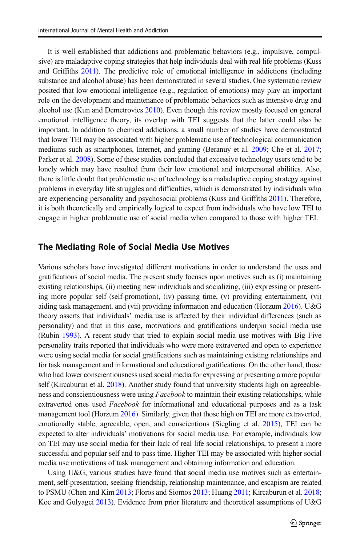It is well established that addictions and problematic behaviors (e.g., impulsive, compulsive) are maladaptive coping strategies that help individuals deal with real life problems (Kuss and Griffiths [2011](#page-8-0)). The predictive role of emotional intelligence in addictions (including substance and alcohol abuse) has been demonstrated in several studies. One systematic review posited that low emotional intelligence (e.g., regulation of emotions) may play an important role on the development and maintenance of problematic behaviors such as intensive drug and alcohol use (Kun and Demetrovics [2010\)](#page-8-0). Even though this review mostly focused on general emotional intelligence theory, its overlap with TEI suggests that the latter could also be important. In addition to chemical addictions, a small number of studies have demonstrated that lower TEI may be associated with higher problematic use of technological communication mediums such as smartphones, Internet, and gaming (Beranuy et al. [2009;](#page-8-0) Che et al. [2017](#page-8-0); Parker et al. [2008\)](#page-9-0). Some of these studies concluded that excessive technology users tend to be lonely which may have resulted from their low emotional and interpersonal abilities. Also, there is little doubt that problematic use of technology is a maladaptive coping strategy against problems in everyday life struggles and difficulties, which is demonstrated by individuals who are experiencing personality and psychosocial problems (Kuss and Griffiths [2011\)](#page-8-0). Therefore, it is both theoretically and empirically logical to expect from individuals who have low TEI to engage in higher problematic use of social media when compared to those with higher TEI.

#### The Mediating Role of Social Media Use Motives

Various scholars have investigated different motivations in order to understand the uses and gratifications of social media. The present study focuses upon motives such as (i) maintaining existing relationships, (ii) meeting new individuals and socializing, (iii) expressing or presenting more popular self (self-promotion), (iv) passing time, (v) providing entertainment, (vi) aiding task management, and (vii) providing information and education (Horzum [2016](#page-8-0)). U&G theory asserts that individuals' media use is affected by their individual differences (such as personality) and that in this case, motivations and gratifications underpin social media use (Rubin [1993](#page-9-0)). A recent study that tried to explain social media use motives with Big Five personality traits reported that individuals who were more extraverted and open to experience were using social media for social gratifications such as maintaining existing relationships and for task management and informational and educational gratifications. On the other hand, those who had lower conscientiousness used social media for expressing or presenting a more popular self (Kircaburun et al. [2018\)](#page-8-0). Another study found that university students high on agreeableness and conscientiousness were using Facebook to maintain their existing relationships, while extraverted ones used *Facebook* for informational and educational purposes and as a task management tool (Horzum [2016\)](#page-8-0). Similarly, given that those high on TEI are more extraverted, emotionally stable, agreeable, open, and conscientious (Siegling et al. [2015](#page-9-0)), TEI can be expected to alter individuals' motivations for social media use. For example, individuals low on TEI may use social media for their lack of real life social relationships, to present a more successful and popular self and to pass time. Higher TEI may be associated with higher social media use motivations of task management and obtaining information and education.

Using U&G, various studies have found that social media use motives such as entertainment, self-presentation, seeking friendship, relationship maintenance, and escapism are related to PSMU (Chen and Kim [2013](#page-8-0); Floros and Siomos [2013](#page-8-0); Huang [2011;](#page-8-0) Kircaburun et al. [2018](#page-8-0); Koc and Gulyagci [2013\)](#page-8-0). Evidence from prior literature and theoretical assumptions of U&G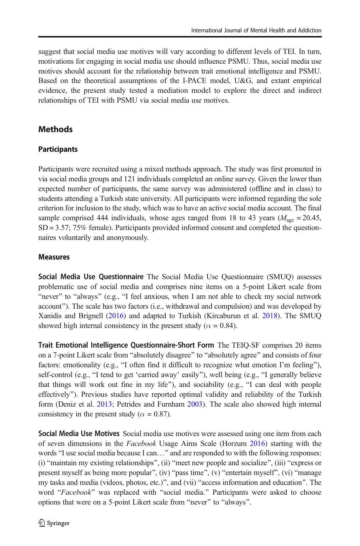suggest that social media use motives will vary according to different levels of TEI. In turn, motivations for engaging in social media use should influence PSMU. Thus, social media use motives should account for the relationship between trait emotional intelligence and PSMU. Based on the theoretical assumptions of the I-PACE model, U&G, and extant empirical evidence, the present study tested a mediation model to explore the direct and indirect relationships of TEI with PSMU via social media use motives.

# **Methods**

## **Participants**

Participants were recruited using a mixed methods approach. The study was first promoted in via social media groups and 121 individuals completed an online survey. Given the lower than expected number of participants, the same survey was administered (offline and in class) to students attending a Turkish state university. All participants were informed regarding the sole criterion for inclusion to the study, which was to have an active social media account. The final sample comprised 444 individuals, whose ages ranged from 18 to 43 years ( $M_{\text{age}} = 20.45$ , SD = 3.57; 75% female). Participants provided informed consent and completed the questionnaires voluntarily and anonymously.

## **Measures**

Social Media Use Questionnaire The Social Media Use Questionnaire (SMUQ) assesses problematic use of social media and comprises nine items on a 5-point Likert scale from "never" to "always" (e.g., "I feel anxious, when I am not able to check my social network account"). The scale has two factors (i.e., withdrawal and compulsion) and was developed by Xanidis and Brignell [\(2016\)](#page-9-0) and adapted to Turkish (Kircaburun et al. [2018\)](#page-8-0). The SMUQ showed high internal consistency in the present study ( $\alpha = 0.84$ ).

Trait Emotional Intelligence Questionnaire-Short Form The TEIQ-SF comprises 20 items on a 7-point Likert scale from "absolutely disagree" to "absolutely agree" and consists of four factors: emotionality (e.g., "I often find it difficult to recognize what emotion I'm feeling"), self-control (e.g., "I tend to get 'carried away' easily"), well being (e.g., "I generally believe that things will work out fine in my life"), and sociability (e.g., "I can deal with people effectively^). Previous studies have reported optimal validity and reliability of the Turkish form (Deniz et al. [2013;](#page-8-0) Petrides and Furnham [2003](#page-9-0)). The scale also showed high internal consistency in the present study ( $\alpha = 0.87$ ).

Social Media Use Motives Social media use motives were assessed using one item from each of seven dimensions in the Facebook Usage Aims Scale (Horzum [2016\)](#page-8-0) starting with the words "I use social media because I can..." and are responded to with the following responses: (i) "maintain my existing relationships", (ii) "meet new people and socialize", (iii) "express or present myself as being more popular", (iv) "pass time", (v) "entertain myself", (vi) "manage my tasks and media (videos, photos, etc.)", and (vii) "access information and education". The word "Facebook" was replaced with "social media." Participants were asked to choose options that were on a 5-point Likert scale from "never" to "always".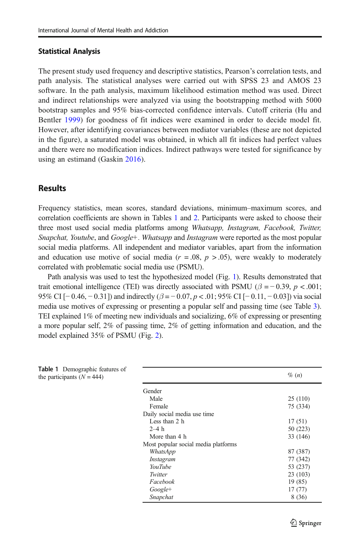#### Statistical Analysis

The present study used frequency and descriptive statistics, Pearson's correlation tests, and path analysis. The statistical analyses were carried out with SPSS 23 and AMOS 23 software. In the path analysis, maximum likelihood estimation method was used. Direct and indirect relationships were analyzed via using the bootstrapping method with 5000 bootstrap samples and 95% bias-corrected confidence intervals. Cutoff criteria (Hu and Bentler [1999](#page-8-0)) for goodness of fit indices were examined in order to decide model fit. However, after identifying covariances between mediator variables (these are not depicted in the figure), a saturated model was obtained, in which all fit indices had perfect values and there were no modification indices. Indirect pathways were tested for significance by using an estimand (Gaskin [2016](#page-8-0)).

### **Results**

Frequency statistics, mean scores, standard deviations, minimum–maximum scores, and correlation coefficients are shown in Tables 1 and [2](#page-5-0). Participants were asked to choose their three most used social media platforms among Whatsapp, Instagram, Facebook, Twitter, Snapchat, Youtube, and Google+. Whatsapp and Instagram were reported as the most popular social media platforms. All independent and mediator variables, apart from the information and education use motive of social media ( $r = .08$ ,  $p > .05$ ), were weakly to moderately correlated with problematic social media use (PSMU).

Path analysis was used to test the hypothesized model (Fig. [1\)](#page-5-0). Results demonstrated that trait emotional intelligence (TEI) was directly associated with PSMU ( $\beta = -0.39$ ,  $p < .001$ ; 95% CI [−0.46, −0.31]) and indirectly  $(\beta = 0.07, p < 0.01; 95\%$  CI [−0.11, −0.03]) via social media use motives of expressing or presenting a popular self and passing time (see Table [3](#page-6-0)). TEI explained 1% of meeting new individuals and socializing, 6% of expressing or presenting a more popular self, 2% of passing time, 2% of getting information and education, and the model explained 35% of PSMU (Fig. [2](#page-6-0)).

| <b>Table 1</b> Demographic features of<br>the participants $(N = 444)$ |                                     | $\%$ $(n)$ |
|------------------------------------------------------------------------|-------------------------------------|------------|
|                                                                        | Gender                              |            |
|                                                                        | Male                                | 25(110)    |
|                                                                        | Female                              | 75 (334)   |
|                                                                        | Daily social media use time         |            |
|                                                                        | Less than 2 h                       | 17(51)     |
|                                                                        | $2-4h$                              | 50 (223)   |
|                                                                        | More than 4 h                       | 33 (146)   |
|                                                                        | Most popular social media platforms |            |
|                                                                        | WhatsApp                            | 87 (387)   |
|                                                                        | Instagram                           | 77 (342)   |
|                                                                        | YouTube                             | 53 (237)   |
|                                                                        | Twitter                             | 23(103)    |
|                                                                        | Facebook                            | 19(85)     |
|                                                                        | $Google+$                           | 17(77)     |
|                                                                        | Snapchat                            | 8(36)      |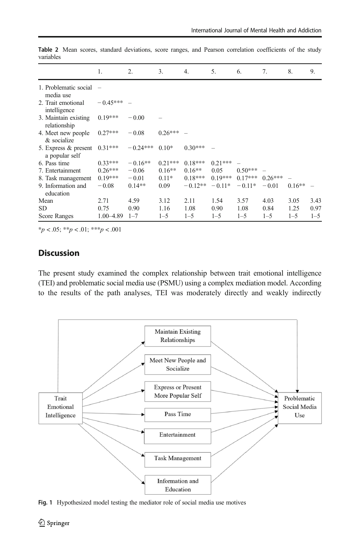|                                        | 1.         | 2.         | 3.        | 4.        | 5.        | 6.        | 7.        | 8.       | 9.      |
|----------------------------------------|------------|------------|-----------|-----------|-----------|-----------|-----------|----------|---------|
| 1. Problematic social $-$<br>media use |            |            |           |           |           |           |           |          |         |
| 2. Trait emotional<br>intelligence     | $-0.45***$ |            |           |           |           |           |           |          |         |
| 3. Maintain existing<br>relationship   | $0.19***$  | $-0.00$    |           |           |           |           |           |          |         |
| 4. Meet new people<br>& socialize      | $0.27***$  | $-0.08$    | $0.26***$ |           |           |           |           |          |         |
| 5. Express & present<br>a popular self | $0.31***$  | $-0.24***$ | $0.10*$   | $0.30***$ |           |           |           |          |         |
| 6. Pass time                           | $0.33***$  | $-0.16**$  | $0.21***$ | $0.18***$ | $0.21***$ |           |           |          |         |
| 7. Entertainment                       | $0.26***$  | $-0.06$    | $0.16**$  | $0.16**$  | 0.05      | $0.50***$ |           |          |         |
| 8. Task management                     | $0.19***$  | $-0.01$    | $0.11*$   | $0.18***$ | $0.19***$ | $0.17***$ | $0.26***$ |          |         |
| 9. Information and<br>education        | $-0.08$    | $0.14**$   | 0.09      | $-0.12**$ | $-0.11*$  | $-0.11*$  | $-0.01$   | $0.16**$ |         |
| Mean                                   | 2.71       | 4.59       | 3.12      | 2.11      | 1.54      | 3.57      | 4.03      | 3.05     | 3.43    |
| SD                                     | 0.75       | 0.90       | 1.16      | 1.08      | 0.90      | 1.08      | 0.84      | 1.25     | 0.97    |
| Score Ranges                           | 1.00-4.89  | $1 - 7$    | $1 - 5$   | $1 - 5$   | $1 - 5$   | $1 - 5$   | $1 - 5$   | $1 - 5$  | $1 - 5$ |

<span id="page-5-0"></span>Table 2 Mean scores, standard deviations, score ranges, and Pearson correlation coefficients of the study variables

 $**p* < .05; ***p* < .01; ****p* < .001$ 

# Discussion

The present study examined the complex relationship between trait emotional intelligence (TEI) and problematic social media use (PSMU) using a complex mediation model. According to the results of the path analyses, TEI was moderately directly and weakly indirectly



Fig. 1 Hypothesized model testing the mediator role of social media use motives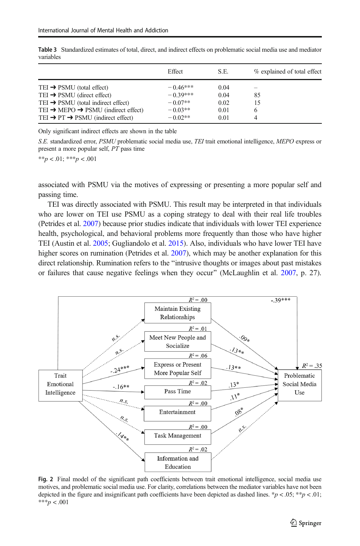|                                                                                                                                                                                                                                                               | Effect                                                          | S.E.                                 | % explained of total effect               |
|---------------------------------------------------------------------------------------------------------------------------------------------------------------------------------------------------------------------------------------------------------------|-----------------------------------------------------------------|--------------------------------------|-------------------------------------------|
| TEI $\rightarrow$ PSMU (total effect)<br>TEI $\rightarrow$ PSMU (direct effect)<br>TEI $\rightarrow$ PSMU (total indirect effect)<br>TEI $\rightarrow$ MEPO $\rightarrow$ PSMU (indirect effect)<br>TEI $\rightarrow$ PT $\rightarrow$ PSMU (indirect effect) | $-0.46***$<br>$-0.39***$<br>$-0.07**$<br>$-0.03**$<br>$-0.02**$ | 0.04<br>0.04<br>0.02<br>0.01<br>0.01 | $\overline{\phantom{a}}$<br>85<br>15<br>6 |

<span id="page-6-0"></span>Table 3 Standardized estimates of total, direct, and indirect effects on problematic social media use and mediator variables

Only significant indirect effects are shown in the table

S.E. standardized error, PSMU problematic social media use, TEI trait emotional intelligence, MEPO express or present a more popular self, PT pass time

 $**p < .01; ***p < .001$ 

associated with PSMU via the motives of expressing or presenting a more popular self and passing time.

TEI was directly associated with PSMU. This result may be interpreted in that individuals who are lower on TEI use PSMU as a coping strategy to deal with their real life troubles (Petrides et al. [2007\)](#page-9-0) because prior studies indicate that individuals with lower TEI experience health, psychological, and behavioral problems more frequently than those who have higher TEI (Austin et al. [2005](#page-8-0); Gugliandolo et al. [2015](#page-8-0)). Also, individuals who have lower TEI have higher scores on rumination (Petrides et al. [2007](#page-9-0)), which may be another explanation for this direct relationship. Rumination refers to the "intrusive thoughts or images about past mistakes or failures that cause negative feelings when they occur^ (McLaughlin et al. [2007,](#page-9-0) p. 27).



Fig. 2 Final model of the significant path coefficients between trait emotional intelligence, social media use motives, and problematic social media use. For clarity, correlations between the mediator variables have not been depicted in the figure and insignificant path coefficients have been depicted as dashed lines. \*p < .05; \*\*p < .01; \*\*\* $p < .001$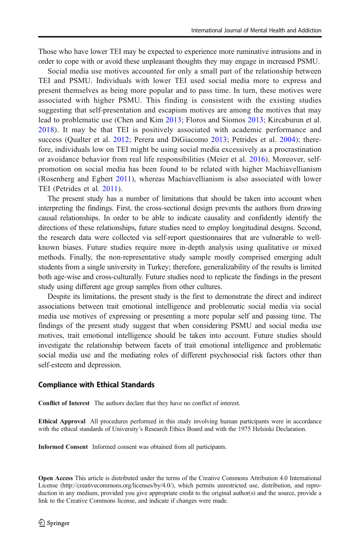Those who have lower TEI may be expected to experience more ruminative intrusions and in order to cope with or avoid these unpleasant thoughts they may engage in increased PSMU.

Social media use motives accounted for only a small part of the relationship between TEI and PSMU. Individuals with lower TEI used social media more to express and present themselves as being more popular and to pass time. In turn, these motives were associated with higher PSMU. This finding is consistent with the existing studies suggesting that self-presentation and escapism motives are among the motives that may lead to problematic use (Chen and Kim [2013;](#page-8-0) Floros and Siomos [2013;](#page-8-0) Kircaburun et al. [2018](#page-8-0)). It may be that TEI is positively associated with academic performance and success (Qualter et al. [2012;](#page-9-0) Perera and DiGiacomo [2013](#page-9-0); Petrides et al. [2004\)](#page-9-0); therefore, individuals low on TEI might be using social media excessively as a procrastination or avoidance behavior from real life responsibilities (Meier et al. [2016\)](#page-9-0). Moreover, selfpromotion on social media has been found to be related with higher Machiavellianism (Rosenberg and Egbert [2011\)](#page-9-0), whereas Machiavellianism is also associated with lower TEI (Petrides et al. [2011](#page-9-0)).

The present study has a number of limitations that should be taken into account when interpreting the findings. First, the cross-sectional design prevents the authors from drawing causal relationships. In order to be able to indicate causality and confidently identify the directions of these relationships, future studies need to employ longitudinal designs. Second, the research data were collected via self-report questionnaires that are vulnerable to wellknown biases. Future studies require more in-depth analysis using qualitative or mixed methods. Finally, the non-representative study sample mostly comprised emerging adult students from a single university in Turkey; therefore, generalizability of the results is limited both age-wise and cross-culturally. Future studies need to replicate the findings in the present study using different age group samples from other cultures.

Despite its limitations, the present study is the first to demonstrate the direct and indirect associations between trait emotional intelligence and problematic social media via social media use motives of expressing or presenting a more popular self and passing time. The findings of the present study suggest that when considering PSMU and social media use motives, trait emotional intelligence should be taken into account. Future studies should investigate the relationship between facets of trait emotional intelligence and problematic social media use and the mediating roles of different psychosocial risk factors other than self-esteem and depression.

#### Compliance with Ethical Standards

Conflict of Interest The authors declare that they have no conflict of interest.

Ethical Approval All procedures performed in this study involving human participants were in accordance with the ethical standards of University's Research Ethics Board and with the 1975 Helsinki Declaration.

Informed Consent Informed consent was obtained from all participants.

Open Access This article is distributed under the terms of the Creative Commons Attribution 4.0 International License (http://creativecommons.org/licenses/by/4.0/), which permits unrestricted use, distribution, and reproduction in any medium, provided you give appropriate credit to the original author(s) and the source, provide a link to the Creative Commons license, and indicate if changes were made.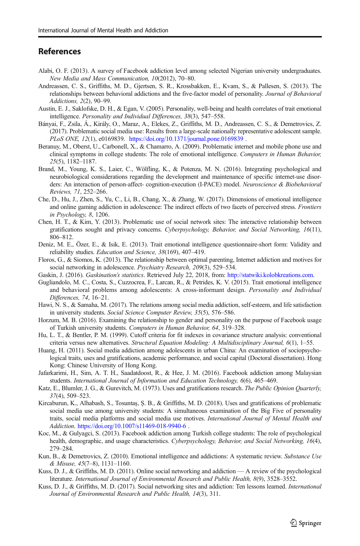### <span id="page-8-0"></span>References

- Alabi, O. F. (2013). A survey of Facebook addiction level among selected Nigerian university undergraduates. New Media and Mass Communication, 10(2012), 70–80.
- Andreassen, C. S., Griffiths, M. D., Gjertsen, S. R., Krossbakken, E., Kvam, S., & Pallesen, S. (2013). The relationships between behavioral addictions and the five-factor model of personality. Journal of Behavioral Addictions, 2(2), 90–99.
- Austin, E. J., Saklofske, D. H., & Egan, V. (2005). Personality, well-being and health correlates of trait emotional intelligence. Personality and Individual Differences, 38(3), 547–558.
- Bányai, F., Zsila, Á., Király, O., Maraz, A., Elekes, Z., Griffiths, M. D., Andreassen, C. S., & Demetrovics, Z. (2017). Problematic social media use: Results from a large-scale nationally representative adolescent sample. PLoS ONE, 12(1), e0169839. <https://doi.org/10.1371/journal.pone.0169839>.
- Beranuy, M., Oberst, U., Carbonell, X., & Chamarro, A. (2009). Problematic internet and mobile phone use and clinical symptoms in college students: The role of emotional intelligence. Computers in Human Behavior, 25(5), 1182–1187.
- Brand, M., Young, K. S., Laier, C., Wölfling, K., & Potenza, M. N. (2016). Integrating psychological and neurobiological considerations regarding the development and maintenance of specific internet-use disorders: An interaction of person-affect- cognition-execution (I-PACE) model. Neuroscience & Biobehavioral Reviews, 71, 252–266.
- Che, D., Hu, J., Zhen, S., Yu, C., Li, B., Chang, X., & Zhang, W. (2017). Dimensions of emotional intelligence and online gaming addiction in adolescence: The indirect effects of two facets of perceived stress. Frontiers in Psychology, 8, 1206.
- Chen, H. T., & Kim, Y. (2013). Problematic use of social network sites: The interactive relationship between gratifications sought and privacy concerns. Cyberpsychology, Behavior, and Social Networking, 16(11), 806–812.
- Deniz, M. E., Özer, E., & Isik, E. (2013). Trait emotional intelligence questionnaire-short form: Validity and reliability studies. Education and Science, 38(169), 407–419.
- Floros, G., & Siomos, K. (2013). The relationship between optimal parenting, Internet addiction and motives for social networking in adolescence. Psychiatry Research, 209(3), 529–534.
- Gaskin, J. (2016). Gaskination's statistics. Retrieved July 22, 2018, from: <http://statwiki.kolobkreations.com>.
- Gugliandolo, M. C., Costa, S., Cuzzocrea, F., Larcan, R., & Petrides, K. V. (2015). Trait emotional intelligence and behavioral problems among adolescents: A cross-informant design. Personality and Individual Differences, 74, 16–21.
- Hawi, N. S., & Samaha, M. (2017). The relations among social media addiction, self-esteem, and life satisfaction in university students. Social Science Computer Review, 35(5), 576–586.
- Horzum, M. B. (2016). Examining the relationship to gender and personality on the purpose of Facebook usage of Turkish university students. Computers in Human Behavior, 64, 319–328.
- Hu, L. T., & Bentler, P. M. (1999). Cutoff criteria for fit indexes in covariance structure analysis: conventional criteria versus new alternatives. Structural Equation Modeling: A Multidisciplinary Journal, 6(1), 1–55.
- Huang, H. (2011). Social media addiction among adolescents in urban China: An examination of sociopsychological traits, uses and gratifications, academic performance, and social capital (Doctoral dissertation). Hong Kong: Chinese University of Hong Kong.
- Jafarkarimi, H., Sim, A. T. H., Saadatdoost, R., & Hee, J. M. (2016). Facebook addiction among Malaysian students. International Journal of Information and Education Technology, 6(6), 465–469.
- Katz, E., Blumler, J. G., & Gurevitch, M. (1973). Uses and gratifications research. The Public Opinion Quarterly, 37(4), 509–523.
- Kircaburun, K., Alhabash, S., Tosuntaş, Ş. B., & Griffiths, M. D. (2018). Uses and gratifications of problematic social media use among university students: A simultaneous examination of the Big Five of personality traits, social media platforms and social media use motives. International Journal of Mental Health and Addiction. <https://doi.org/10.1007/s11469-018-9940-6> .
- Koc, M., & Gulyagci, S. (2013). Facebook addiction among Turkish college students: The role of psychological health, demographic, and usage characteristics. Cyberpsychology, Behavior, and Social Networking, 16(4), 279–284.
- Kun, B., & Demetrovics, Z. (2010). Emotional intelligence and addictions: A systematic review. Substance Use & Misuse, 45(7–8), 1131–1160.
- Kuss, D. J., & Griffiths, M. D. (2011). Online social networking and addiction A review of the psychological literature. International Journal of Environmental Research and Public Health, 8(9), 3528–3552.
- Kuss, D. J., & Griffiths, M. D. (2017). Social networking sites and addiction: Ten lessons learned. International Journal of Environmental Research and Public Health, 14(3), 311.